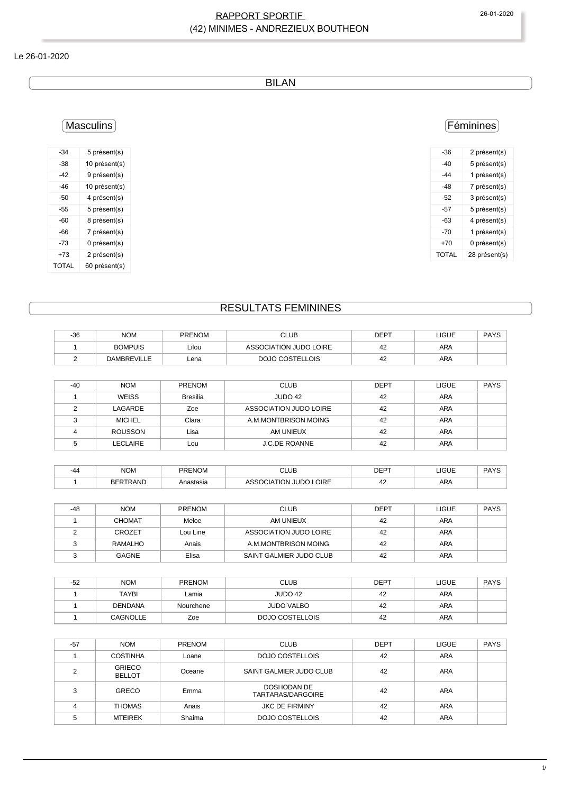#### RAPPORT SPORTIF 26-01-2020 (42) MINIMES - ANDREZIEUX BOUTHEON

#### Le 26-01-2020

BILAN

#### Masculins

| -34   | 5 présent(s)  |
|-------|---------------|
| -38   | 10 présent(s) |
| -42   | 9 présent(s)  |
| $-46$ | 10 présent(s) |
| -50   | 4 présent(s)  |
| -55   | 5 présent(s)  |
| -60   | 8 présent(s)  |
| -66   | 7 présent(s)  |
| -73   | 0 présent(s)  |
| +73   | 2 présent(s)  |
| TOTAL | 60 présent(s) |

## Féminines

| -36   | 2 présent(s)  |
|-------|---------------|
| -40   | 5 présent(s)  |
| -44   | 1 présent(s)  |
| -48   | 7 présent(s)  |
| -52   | 3 présent(s)  |
| -57   | 5 présent(s)  |
| -63   | 4 présent(s)  |
| -70   | 1 présent(s)  |
| +70   | 0 présent(s)  |
| TOTAL | 28 présent(s) |
|       |               |

# RESULTATS FEMININES

| $-36$ | <b>NOM</b>         | <b>PRENOM</b> | CLUB                   | DEPT | LIGUE | <b>PAYS</b> |
|-------|--------------------|---------------|------------------------|------|-------|-------------|
|       | <b>BOMPUIS</b>     | Lilou         | ASSOCIATION JUDO LOIRE | 42   | ARA   |             |
|       | <b>DAMBREVILLE</b> | Lena          | DOJO COSTELLOIS        | 42   | ARA   |             |

| $-40$ | <b>NOM</b>     | <b>PRENOM</b>   | <b>CLUB</b>            | <b>DEPT</b> | LIGUE      | <b>PAYS</b> |
|-------|----------------|-----------------|------------------------|-------------|------------|-------------|
|       | <b>WEISS</b>   | <b>Bresilia</b> | JUDO 42                | 42          | <b>ARA</b> |             |
|       | LAGARDE        | Zoe             | ASSOCIATION JUDO LOIRE | 42          | <b>ARA</b> |             |
|       | <b>MICHEL</b>  | Clara           | A.M.MONTBRISON MOING   | 42          | <b>ARA</b> |             |
|       | <b>ROUSSON</b> | Lisa            | AM UNIEUX              | 42          | <b>ARA</b> |             |
|       | LECLAIRE       | Lou             | <b>J.C.DE ROANNE</b>   | 42          | ARA        |             |

| -44 | <b>NOM</b> | <b>PRENOM</b> | <b>CLUB</b>                 | <b>DEDT</b><br>ັບ∟ເ | <b>LIGUE</b> | <b>PAYS</b> |
|-----|------------|---------------|-----------------------------|---------------------|--------------|-------------|
|     | irand      | Anastasia     | <b>LOIRE</b><br>10N<br>JUDO | . .                 | <b>ARA</b>   |             |

| $-48$ | <b>NOM</b>    | <b>PRENOM</b> | <b>CLUB</b>             | <b>DEPT</b> | <b>LIGUE</b> | <b>PAYS</b> |  |
|-------|---------------|---------------|-------------------------|-------------|--------------|-------------|--|
|       | <b>CHOMAT</b> | Meloe         | AM UNIEUX               | 42          | ARA          |             |  |
|       | <b>CROZET</b> | Lou Line      | ASSOCIATION JUDO LOIRE  | 42          | <b>ARA</b>   |             |  |
|       | RAMALHO       | Anais         | A.M.MONTBRISON MOING    | 42          | ARA          |             |  |
|       | <b>GAGNE</b>  | Elisa         | SAINT GALMIER JUDO CLUB | 42          | ARA          |             |  |

| $-52$ | <b>NOM</b>      | <b>PRENOM</b> | <b>CLUB</b>       | <b>DEPT</b> | LIGUE | <b>PAYS</b> |
|-------|-----------------|---------------|-------------------|-------------|-------|-------------|
|       | TAYBI           | Lamia         | JUDO 42           | 42          | ARA   |             |
|       | <b>DENDANA</b>  | Nourchene     | <b>JUDO VALBO</b> | 42          | ARA   |             |
|       | <b>CAGNOLLE</b> | Zoe           | DOJO COSTELLOIS   | 42          | ARA   |             |

| $-57$ | <b>NOM</b>                     | <b>PRENOM</b> | <b>CLUB</b>                      | <b>DEPT</b> | <b>LIGUE</b> | <b>PAYS</b> |
|-------|--------------------------------|---------------|----------------------------------|-------------|--------------|-------------|
|       | <b>COSTINHA</b>                | Loane         | DOJO COSTELLOIS                  | 42          | <b>ARA</b>   |             |
|       | <b>GRIECO</b><br><b>BELLOT</b> | Oceane        | SAINT GALMIER JUDO CLUB          | 42          | <b>ARA</b>   |             |
| ∘     | <b>GRECO</b>                   | Emma          | DOSHODAN DE<br>TARTARAS/DARGOIRE | 42          | <b>ARA</b>   |             |
| 4     | <b>THOMAS</b>                  | Anais         | <b>JKC DE FIRMINY</b>            | 42          | <b>ARA</b>   |             |
| 5     | <b>MTEIREK</b>                 | Shaima        | DOJO COSTELLOIS                  | 42          | <b>ARA</b>   |             |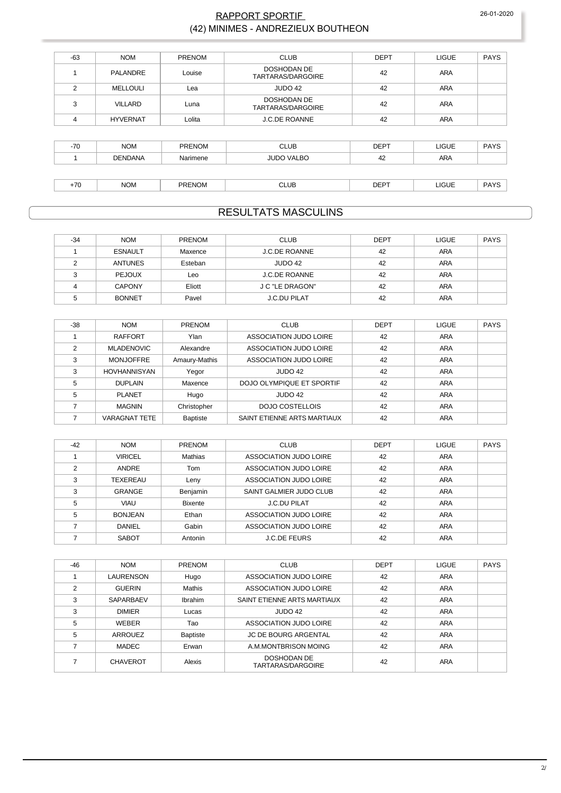#### RAPPORT SPORTIF (42) MINIMES - ANDREZIEUX BOUTHEON

| $-63$ | <b>NOM</b>      | PRENOM   | <b>CLUB</b>                             | <b>DEPT</b> | <b>LIGUE</b> | <b>PAYS</b> |
|-------|-----------------|----------|-----------------------------------------|-------------|--------------|-------------|
|       | PALANDRE        | Louise   | <b>DOSHODAN DE</b><br>TARTARAS/DARGOIRE | 42          | <b>ARA</b>   |             |
| 2     | <b>MELLOULI</b> | Lea      | JUDO 42                                 | 42          | <b>ARA</b>   |             |
| 3     | VILLARD         | Luna     | <b>DOSHODAN DE</b><br>TARTARAS/DARGOIRE | 42          | ARA          |             |
| 4     | <b>HYVERNAT</b> | Lolita   | <b>J.C.DE ROANNE</b>                    | 42          | <b>ARA</b>   |             |
|       |                 |          |                                         |             |              |             |
| $-70$ | <b>NOM</b>      | PRENOM   | <b>CLUB</b>                             | <b>DEPT</b> | <b>LIGUE</b> | <b>PAYS</b> |
|       | <b>DENDANA</b>  | Narimene | <b>JUDO VALBO</b>                       | 42          | <b>ARA</b>   |             |
|       |                 |          |                                         |             |              |             |
| $+70$ | <b>NOM</b>      | PRENOM   | <b>CLUB</b>                             | <b>DEPT</b> | <b>LIGUE</b> | <b>PAYS</b> |

### **RESULTATS MASCULINS**

| $-34$ | <b>NOM</b>     | PRENOM  | <b>CLUB</b>          | <b>DEPT</b> | <b>LIGUE</b> | <b>PAYS</b> |
|-------|----------------|---------|----------------------|-------------|--------------|-------------|
|       | <b>ESNAULT</b> | Maxence | <b>J.C.DE ROANNE</b> | 42          | ARA          |             |
|       | <b>ANTUNES</b> | Esteban | JUDO 42              | 42          | ARA          |             |
|       | <b>PEJOUX</b>  | Leo     | <b>J.C.DE ROANNE</b> | 42          | ARA          |             |
|       | <b>CAPONY</b>  | Eliott  | J C "LE DRAGON"      | 42          | ARA          |             |
|       | <b>BONNET</b>  | Pavel   | <b>J.C.DU PILAT</b>  | 42          | ARA          |             |

| $-38$          | <b>NOM</b>           | <b>PRENOM</b> | <b>CLUB</b>                 | <b>DEPT</b> | <b>LIGUE</b> | PAYS |
|----------------|----------------------|---------------|-----------------------------|-------------|--------------|------|
|                | <b>RAFFORT</b>       | Ylan          | ASSOCIATION JUDO LOIRE      | 42          | ARA          |      |
| $\overline{2}$ | <b>MLADENOVIC</b>    | Alexandre     | ASSOCIATION JUDO LOIRE      | 42          | ARA          |      |
| 3              | <b>MONJOFFRE</b>     | Amaury-Mathis | ASSOCIATION JUDO LOIRE      | 42          | ARA          |      |
| 3              | HOVHANNISYAN         | Yegor         | JUDO 42                     | 42          | ARA          |      |
| 5              | <b>DUPLAIN</b>       | Maxence       | DOJO OLYMPIQUE ET SPORTIF   | 42          | ARA          |      |
| 5              | <b>PLANET</b>        | Hugo          | JUDO 42                     | 42          | ARA          |      |
|                | <b>MAGNIN</b>        | Christopher   | <b>DOJO COSTELLOIS</b>      | 42          | ARA          |      |
|                | <b>VARAGNAT TETE</b> | Baptiste      | SAINT ETIENNE ARTS MARTIAUX | 42          | ARA          |      |

| $-42$ | <b>NOM</b>      | <b>PRENOM</b>  | <b>CLUB</b>             | <b>DEPT</b> | <b>LIGUE</b> | <b>PAYS</b> |
|-------|-----------------|----------------|-------------------------|-------------|--------------|-------------|
|       | <b>VIRICEL</b>  | Mathias        | ASSOCIATION JUDO LOIRE  | 42          | ARA          |             |
| ◠     | ANDRE           | Tom            | ASSOCIATION JUDO LOIRE  | 42          | ARA          |             |
| 3     | <b>TEXEREAU</b> | Leny           | ASSOCIATION JUDO LOIRE  | 42          | <b>ARA</b>   |             |
| 3     | <b>GRANGE</b>   | Benjamin       | SAINT GALMIER JUDO CLUB | 42          | <b>ARA</b>   |             |
| 5     | <b>VIAU</b>     | <b>Bixente</b> | <b>J.C.DU PILAT</b>     | 42          | ARA          |             |
| 5     | <b>BONJEAN</b>  | Ethan          | ASSOCIATION JUDO LOIRE  | 42          | ARA          |             |
|       | <b>DANIEL</b>   | Gabin          | ASSOCIATION JUDO LOIRE  | 42          | <b>ARA</b>   |             |
|       | <b>SABOT</b>    | Antonin        | <b>J.C.DE FEURS</b>     | 42          | <b>ARA</b>   |             |

| $-46$ | <b>NOM</b>       | PRENOM          | <b>CLUB</b>                      | <b>DEPT</b> | <b>LIGUE</b> | <b>PAYS</b> |
|-------|------------------|-----------------|----------------------------------|-------------|--------------|-------------|
|       | LAURENSON        | Hugo            | ASSOCIATION JUDO LOIRE           | 42          | <b>ARA</b>   |             |
| 2     | <b>GUERIN</b>    | Mathis          | ASSOCIATION JUDO LOIRE           | 42          | <b>ARA</b>   |             |
| 3     | <b>SAPARBAEV</b> | Ibrahim         | SAINT ETIENNE ARTS MARTIAUX      | 42          | <b>ARA</b>   |             |
| 3     | <b>DIMIER</b>    | Lucas           | JUDO 42                          | 42          | <b>ARA</b>   |             |
| 5     | WEBER            | Tao             | ASSOCIATION JUDO LOIRE           | 42          | <b>ARA</b>   |             |
| 5     | ARROUEZ          | <b>Baptiste</b> | <b>JC DE BOURG ARGENTAL</b>      | 42          | <b>ARA</b>   |             |
|       | MADEC            | Erwan           | A.M.MONTBRISON MOING             | 42          | <b>ARA</b>   |             |
|       | <b>CHAVEROT</b>  | Alexis          | DOSHODAN DE<br>TARTARAS/DARGOIRE | 42          | ARA          |             |